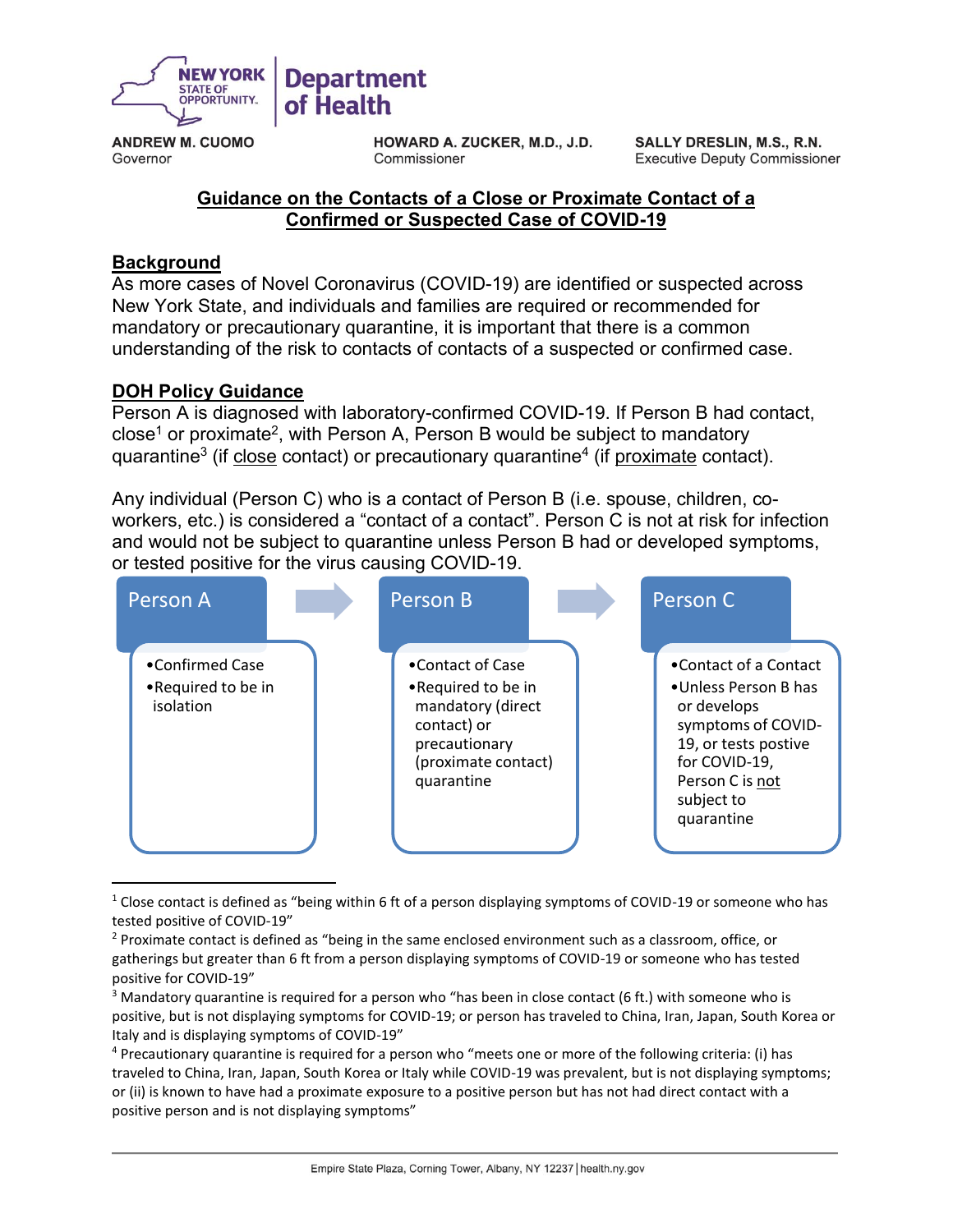

**ANDREW M. CUOMO** Governor

**HOWARD A. ZUCKER, M.D., J.D.** Commissioner

SALLY DRESLIN, M.S., R.N. **Executive Deputy Commissioner** 

## **Guidance on the Contacts of a Close or Proximate Contact of a Confirmed or Suspected Case of COVID-19**

## **Background**

 $\overline{a}$ 

As more cases of Novel Coronavirus (COVID-19) are identified or suspected across New York State, and individuals and families are required or recommended for mandatory or precautionary quarantine, it is important that there is a common understanding of the risk to contacts of contacts of a suspected or confirmed case.

## **DOH Policy Guidance**

Person A is diagnosed with laboratory-confirmed COVID-19. If Person B had contact, close $^1$  or proximate $^2$ , with Person A, Person B would be subject to mandatory quarantine<sup>3</sup> (if <u>close</u> contact) or precautionary quarantine<sup>4</sup> (if <u>proximate</u> contact).

Any individual (Person C) who is a contact of Person B (i.e. spouse, children, coworkers, etc.) is considered a "contact of a contact". Person C is not at risk for infection and would not be subject to quarantine unless Person B had or developed symptoms, or tested positive for the virus causing COVID-19.



<sup>&</sup>lt;sup>1</sup> Close contact is defined as "being within 6 ft of a person displaying symptoms of COVID-19 or someone who has tested positive of COVID-19"

<sup>&</sup>lt;sup>2</sup> Proximate contact is defined as "being in the same enclosed environment such as a classroom, office, or gatherings but greater than 6 ft from a person displaying symptoms of COVID-19 or someone who has tested positive for COVID-19"

 $3$  Mandatory quarantine is required for a person who "has been in close contact (6 ft.) with someone who is positive, but is not displaying symptoms for COVID-19; or person has traveled to China, Iran, Japan, South Korea or Italy and is displaying symptoms of COVID-19"

<sup>4</sup> Precautionary quarantine is required for a person who "meets one or more of the following criteria: (i) has traveled to China, Iran, Japan, South Korea or Italy while COVID-19 was prevalent, but is not displaying symptoms; or (ii) is known to have had a proximate exposure to a positive person but has not had direct contact with a positive person and is not displaying symptoms"